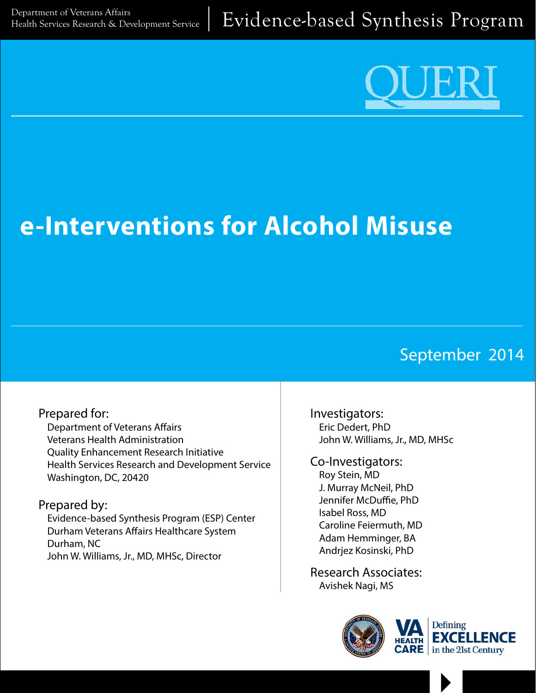

# **e-Interventions for Alcohol Misuse**

# September 2014

# Prepared for:

Department of Veterans Affairs Veterans Health Administration Quality Enhancement Research Initiative Health Services Research and Development Service Washington, DC, 20420

#### Prepared by:

Evidence-based Synthesis Program (ESP) Center Durham Veterans Affairs Healthcare System Durham, NC John W. Williams, Jr., MD, MHSc, Director

Investigators: Eric Dedert, PhD John W. Williams, Jr., MD, MHSc

#### Co-Investigators: Roy Stein, MD J. Murray McNeil, PhD

Jennifer McDuffie, PhD Isabel Ross, MD Caroline Feiermuth, MD Adam Hemminger, BA Andrjez Kosinski, PhD

Research Associates: Avishek Nagi, MS



 $\blacktriangleright$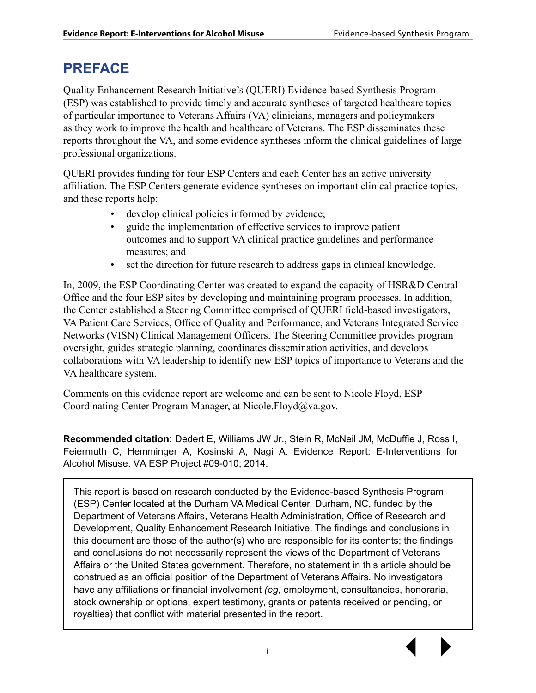# **PREFACE**

Quality Enhancement Research Initiative's (QUERI) Evidence-based Synthesis Program (ESP) was established to provide timely and accurate syntheses of targeted healthcare topics of particular importance to Veterans Affairs (VA) clinicians, managers and policymakers as they work to improve the health and healthcare of Veterans. The ESP disseminates these reports throughout the VA, and some evidence syntheses inform the clinical guidelines of large professional organizations.

QUERI provides funding for four ESP Centers and each Center has an active university affiliation. The ESP Centers generate evidence syntheses on important clinical practice topics, and these reports help:

- develop clinical policies informed by evidence;
- guide the implementation of effective services to improve patient outcomes and to support VA clinical practice guidelines and performance measures; and
- set the direction for future research to address gaps in clinical knowledge.

In, 2009, the ESP Coordinating Center was created to expand the capacity of HSR&D Central Office and the four ESP sites by developing and maintaining program processes. In addition, the Center established a Steering Committee comprised of QUERI field-based investigators, VA Patient Care Services, Office of Quality and Performance, and Veterans Integrated Service Networks (VISN) Clinical Management Officers. The Steering Committee provides program oversight, guides strategic planning, coordinates dissemination activities, and develops collaborations with VA leadership to identify new ESP topics of importance to Veterans and the VA healthcare system.

Comments on this evidence report are welcome and can be sent to Nicole Floyd, ESP Coordinating Center Program Manager, at Nicole.Floyd@va.gov.

**Recommended citation:** Dedert E, Williams JW Jr., Stein R, McNeil JM, McDuffie J, Ross I, Feiermuth C, Hemminger A, Kosinski A, Nagi A. Evidence Report: E-Interventions for Alcohol Misuse. VA ESP Project #09-010; 2014.

This report is based on research conducted by the Evidence-based Synthesis Program (ESP) Center located at the Durham VA Medical Center, Durham, NC, funded by the Department of Veterans Affairs, Veterans Health Administration, Office of Research and Development, Quality Enhancement Research Initiative. The findings and conclusions in this document are those of the author(s) who are responsible for its contents; the findings and conclusions do not necessarily represent the views of the Department of Veterans Affairs or the United States government. Therefore, no statement in this article should be construed as an official position of the Department of Veterans Affairs. No investigators have any affiliations or financial involvement *(eg,* employment, consultancies, honoraria, stock ownership or options, expert testimony, grants or patents received or pending, or royalties) that conflict with material presented in the report.

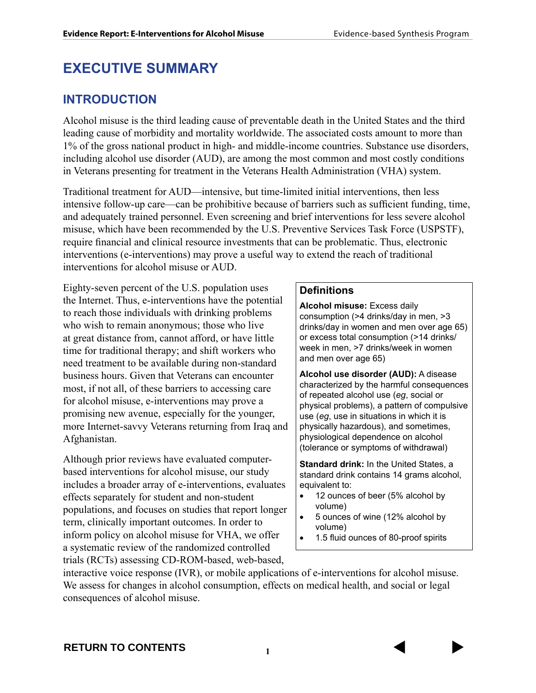# **EXECUTIVE SUMMARY**

#### **INTRODUCTION**

Alcohol misuse is the third leading cause of preventable death in the United States and the third leading cause of morbidity and mortality worldwide. The associated costs amount to more than 1% of the gross national product in high- and middle-income countries. Substance use disorders, including alcohol use disorder (AUD), are among the most common and most costly conditions in Veterans presenting for treatment in the Veterans Health Administration (VHA) system.

Traditional treatment for AUD—intensive, but time-limited initial interventions, then less intensive follow-up care—can be prohibitive because of barriers such as sufficient funding, time, and adequately trained personnel. Even screening and brief interventions for less severe alcohol misuse, which have been recommended by the U.S. Preventive Services Task Force (USPSTF), require financial and clinical resource investments that can be problematic. Thus, electronic interventions (e-interventions) may prove a useful way to extend the reach of traditional interventions for alcohol misuse or AUD.

Eighty-seven percent of the U.S. population uses the Internet. Thus, e-interventions have the potential to reach those individuals with drinking problems who wish to remain anonymous; those who live at great distance from, cannot afford, or have little time for traditional therapy; and shift workers who need treatment to be available during non-standard business hours. Given that Veterans can encounter most, if not all, of these barriers to accessing care for alcohol misuse, e-interventions may prove a promising new avenue, especially for the younger, more Internet-savvy Veterans returning from Iraq and Afghanistan.

Although prior reviews have evaluated computerbased interventions for alcohol misuse, our study includes a broader array of e-interventions, evaluates effects separately for student and non-student populations, and focuses on studies that report longer term, clinically important outcomes. In order to inform policy on alcohol misuse for VHA, we offer a systematic review of the randomized controlled trials (RCTs) assessing CD-ROM-based, web-based,

#### **Definitions**

**Alcohol misuse:** Excess daily consumption (>4 drinks/day in men, >3 drinks/day in women and men over age 65) or excess total consumption (>14 drinks/ week in men, >7 drinks/week in women and men over age 65)

**Alcohol use disorder (AUD):** A disease characterized by the harmful consequences of repeated alcohol use (*eg*, social or physical problems), a pattern of compulsive use (*eg*, use in situations in which it is physically hazardous), and sometimes, physiological dependence on alcohol (tolerance or symptoms of withdrawal)

**Standard drink:** In the United States, a standard drink contains 14 grams alcohol, equivalent to:

- 12 ounces of beer (5% alcohol by volume)
- 5 ounces of wine (12% alcohol by volume)
- 1.5 fluid ounces of 80-proof spirits

interactive voice response (IVR), or mobile applications of e-interventions for alcohol misuse. We assess for changes in alcohol consumption, effects on medical health, and social or legal consequences of alcohol misuse.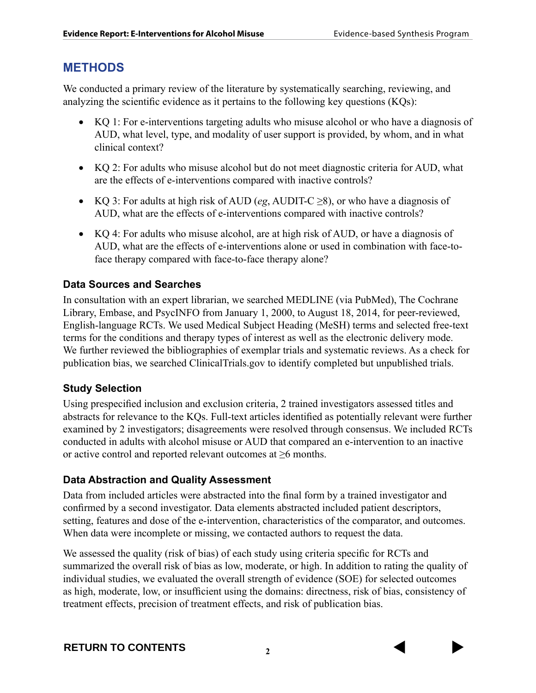#### **METHODS**

We conducted a primary review of the literature by systematically searching, reviewing, and analyzing the scientific evidence as it pertains to the following key questions (KQs):

- KQ 1: For e-interventions targeting adults who misuse alcohol or who have a diagnosis of AUD, what level, type, and modality of user support is provided, by whom, and in what clinical context?
- KQ 2: For adults who misuse alcohol but do not meet diagnostic criteria for AUD, what are the effects of e-interventions compared with inactive controls?
- KQ 3: For adults at high risk of AUD (*eg*, AUDIT-C  $\geq$ 8), or who have a diagnosis of AUD, what are the effects of e-interventions compared with inactive controls?
- KQ 4: For adults who misuse alcohol, are at high risk of AUD, or have a diagnosis of AUD, what are the effects of e-interventions alone or used in combination with face-toface therapy compared with face-to-face therapy alone?

#### **Data Sources and Searches**

In consultation with an expert librarian, we searched MEDLINE (via PubMed), The Cochrane Library, Embase, and PsycINFO from January 1, 2000, to August 18, 2014, for peer-reviewed, English-language RCTs. We used Medical Subject Heading (MeSH) terms and selected free-text terms for the conditions and therapy types of interest as well as the electronic delivery mode. We further reviewed the bibliographies of exemplar trials and systematic reviews. As a check for publication bias, we searched ClinicalTrials.gov to identify completed but unpublished trials.

#### **Study Selection**

Using prespecified inclusion and exclusion criteria, 2 trained investigators assessed titles and abstracts for relevance to the KQs. Full-text articles identified as potentially relevant were further examined by 2 investigators; disagreements were resolved through consensus. We included RCTs conducted in adults with alcohol misuse or AUD that compared an e-intervention to an inactive or active control and reported relevant outcomes at ≥6 months.

#### **Data Abstraction and Quality Assessment**

Data from included articles were abstracted into the final form by a trained investigator and confirmed by a second investigator. Data elements abstracted included patient descriptors, setting, features and dose of the e-intervention, characteristics of the comparator, and outcomes. When data were incomplete or missing, we contacted authors to request the data.

We assessed the quality (risk of bias) of each study using criteria specific for RCTs and summarized the overall risk of bias as low, moderate, or high. In addition to rating the quality of individual studies, we evaluated the overall strength of evidence (SOE) for selected outcomes as high, moderate, low, or insufficient using the domains: directness, risk of bias, consistency of treatment effects, precision of treatment effects, and risk of publication bias.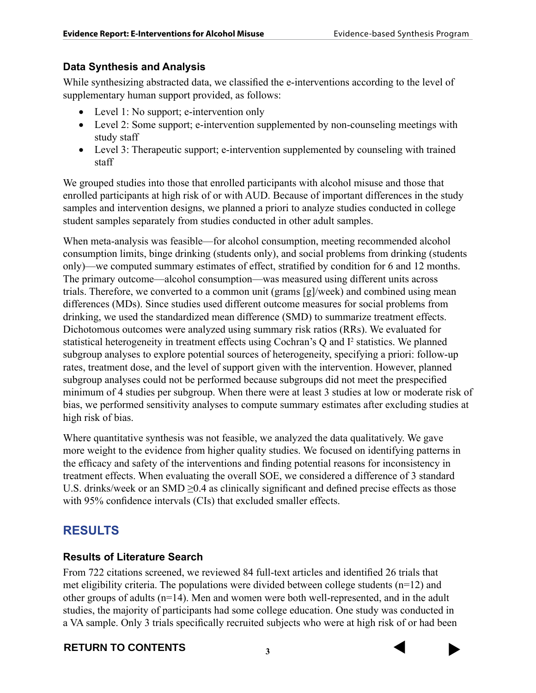#### **Data Synthesis and Analysis**

While synthesizing abstracted data, we classified the e-interventions according to the level of supplementary human support provided, as follows:

- Level 1: No support; e-intervention only
- Level 2: Some support; e-intervention supplemented by non-counseling meetings with study staff
- Level 3: Therapeutic support; e-intervention supplemented by counseling with trained staff

We grouped studies into those that enrolled participants with alcohol misuse and those that enrolled participants at high risk of or with AUD. Because of important differences in the study samples and intervention designs, we planned a priori to analyze studies conducted in college student samples separately from studies conducted in other adult samples.

When meta-analysis was feasible—for alcohol consumption, meeting recommended alcohol consumption limits, binge drinking (students only), and social problems from drinking (students only)—we computed summary estimates of effect, stratified by condition for 6 and 12 months. The primary outcome—alcohol consumption—was measured using different units across trials. Therefore, we converted to a common unit (grams [g]/week) and combined using mean differences (MDs). Since studies used different outcome measures for social problems from drinking, we used the standardized mean difference (SMD) to summarize treatment effects. Dichotomous outcomes were analyzed using summary risk ratios (RRs). We evaluated for statistical heterogeneity in treatment effects using Cochran's Q and I<sup>2</sup> statistics. We planned subgroup analyses to explore potential sources of heterogeneity, specifying a priori: follow-up rates, treatment dose, and the level of support given with the intervention. However, planned subgroup analyses could not be performed because subgroups did not meet the prespecified minimum of 4 studies per subgroup. When there were at least 3 studies at low or moderate risk of bias, we performed sensitivity analyses to compute summary estimates after excluding studies at high risk of bias.

Where quantitative synthesis was not feasible, we analyzed the data qualitatively. We gave more weight to the evidence from higher quality studies. We focused on identifying patterns in the efficacy and safety of the interventions and finding potential reasons for inconsistency in treatment effects. When evaluating the overall SOE, we considered a difference of 3 standard U.S. drinks/week or an SMD ≥0.4 as clinically significant and defined precise effects as those with 95% confidence intervals (CIs) that excluded smaller effects.

### **RESULTS**

#### **Results of Literature Search**

From 722 citations screened, we reviewed 84 full-text articles and identified 26 trials that met eligibility criteria. The populations were divided between college students  $(n=12)$  and other groups of adults (n=14). Men and women were both well-represented, and in the adult studies, the majority of participants had some college education. One study was conducted in a VA sample. Only 3 trials specifically recruited subjects who were at high risk of or had been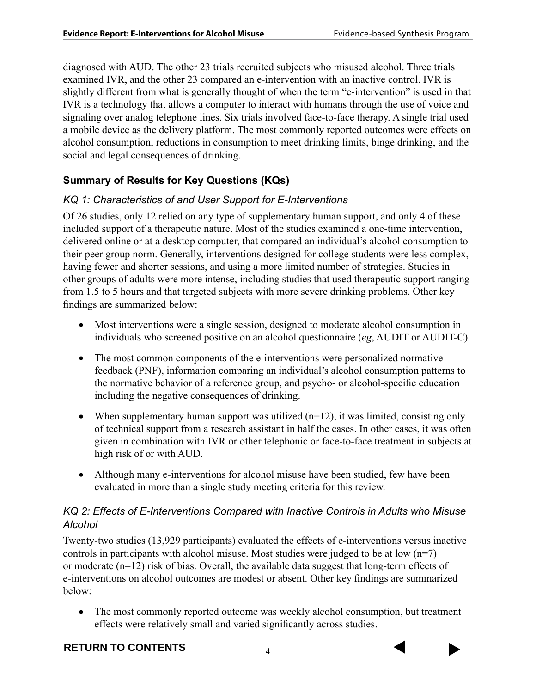diagnosed with AUD. The other 23 trials recruited subjects who misused alcohol. Three trials examined IVR, and the other 23 compared an e-intervention with an inactive control. IVR is slightly different from what is generally thought of when the term "e-intervention" is used in that IVR is a technology that allows a computer to interact with humans through the use of voice and signaling over analog telephone lines. Six trials involved face-to-face therapy. A single trial used a mobile device as the delivery platform. The most commonly reported outcomes were effects on alcohol consumption, reductions in consumption to meet drinking limits, binge drinking, and the social and legal consequences of drinking.

#### **Summary of Results for Key Questions (KQs)**

#### *KQ 1: Characteristics of and User Support for E-Interventions*

Of 26 studies, only 12 relied on any type of supplementary human support, and only 4 of these included support of a therapeutic nature. Most of the studies examined a one-time intervention, delivered online or at a desktop computer, that compared an individual's alcohol consumption to their peer group norm. Generally, interventions designed for college students were less complex, having fewer and shorter sessions, and using a more limited number of strategies. Studies in other groups of adults were more intense, including studies that used therapeutic support ranging from 1.5 to 5 hours and that targeted subjects with more severe drinking problems. Other key findings are summarized below:

- Most interventions were a single session, designed to moderate alcohol consumption in individuals who screened positive on an alcohol questionnaire (*eg*, AUDIT or AUDIT-C).
- The most common components of the e-interventions were personalized normative feedback (PNF), information comparing an individual's alcohol consumption patterns to the normative behavior of a reference group, and psycho- or alcohol-specific education including the negative consequences of drinking.
- When supplementary human support was utilized  $(n=12)$ , it was limited, consisting only of technical support from a research assistant in half the cases. In other cases, it was often given in combination with IVR or other telephonic or face-to-face treatment in subjects at high risk of or with AUD.
- Although many e-interventions for alcohol misuse have been studied, few have been evaluated in more than a single study meeting criteria for this review.

#### *KQ 2: Effects of E-Interventions Compared with Inactive Controls in Adults who Misuse Alcohol*

Twenty-two studies (13,929 participants) evaluated the effects of e-interventions versus inactive controls in participants with alcohol misuse. Most studies were judged to be at low  $(n=7)$ or moderate (n=12) risk of bias. Overall, the available data suggest that long-term effects of e-interventions on alcohol outcomes are modest or absent. Other key findings are summarized below:

• The most commonly reported outcome was weekly alcohol consumption, but treatment effects were relatively small and varied significantly across studies.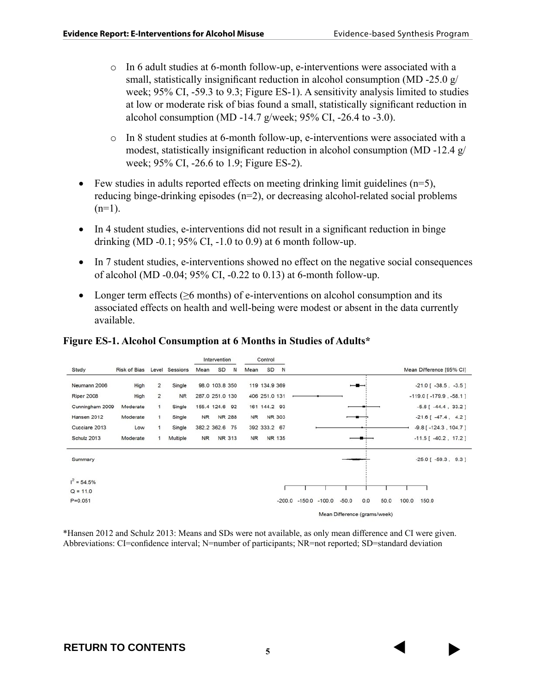- $\circ$  In 6 adult studies at 6-month follow-up, e-interventions were associated with a small, statistically insignificant reduction in alcohol consumption (MD -25.0 g/ week; 95% CI, -59.3 to 9.3; Figure ES-1). A sensitivity analysis limited to studies at low or moderate risk of bias found a small, statistically significant reduction in alcohol consumption (MD -14.7 g/week; 95% CI, -26.4 to -3.0).
- $\circ$  In 8 student studies at 6-month follow-up, e-interventions were associated with a modest, statistically insignificant reduction in alcohol consumption (MD -12.4 g/ week; 95% CI, -26.6 to 1.9; Figure ES-2).
- Few studies in adults reported effects on meeting drinking limit guidelines  $(n=5)$ , reducing binge-drinking episodes (n=2), or decreasing alcohol-related social problems  $(n=1)$ .
- In 4 student studies, e-interventions did not result in a significant reduction in binge drinking (MD -0.1;  $95\%$  CI, -1.0 to 0.9) at 6 month follow-up.
- In 7 student studies, e-interventions showed no effect on the negative social consequences of alcohol (MD -0.04; 95% CI, -0.22 to 0.13) at 6-month follow-up.
- Longer term effects ( $\geq$ 6 months) of e-interventions on alcohol consumption and its associated effects on health and well-being were modest or absent in the data currently available.

#### **Figure ES-1. Alcohol Consumption at 6 Months in Studies of Adults\***



\*Hansen 2012 and Schulz 2013: Means and SDs were not available, as only mean difference and CI were given. Abbreviations: CI=confidence interval; N=number of participants; NR=not reported; SD=standard deviation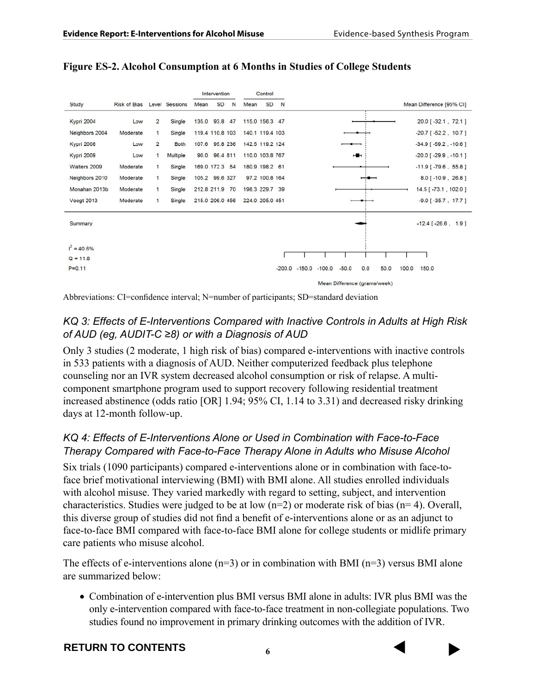|                | <b>Risk of Bias</b> |                | Level Sessions | Intervention |                 |    | Control         |                 |          |          |          |                              |     |      |       |                               |  |
|----------------|---------------------|----------------|----------------|--------------|-----------------|----|-----------------|-----------------|----------|----------|----------|------------------------------|-----|------|-------|-------------------------------|--|
| Study          |                     |                |                | Mean         | SD              | N  | Mean            | SD              | N        |          |          |                              |     |      |       | Mean Difference [95% CI]      |  |
| Kypri 2004     | Low                 | $\overline{2}$ | Single         |              | 135.0 93.8 47   |    |                 | 115.0 156.3 47  |          |          |          |                              |     |      |       | 20.0 [-32.1, 72.1]            |  |
| Neighbors 2004 | Moderate            | $\mathbf{1}$   | Single         |              | 119.4 110.8 103 |    |                 | 140.1 119.4 103 |          |          |          |                              |     |      |       | $-20.7$ [ $-52.2$ , 10.7]     |  |
| Kypri 2008     | Low                 | $\overline{2}$ | Both           |              | 107.6 95.8 236  |    |                 | 142.5 119.2 124 |          |          |          |                              |     |      |       | $-34.9$ [ $-59.2$ , $-10.6$ ] |  |
| Kypri 2009     | Low                 | $\mathbf{1}$   | Multiple       | 90.0         | 96.4 811        |    |                 | 110.0 103.8 767 |          |          |          |                              | н.  |      |       | $-20.0$ [ $-29.9$ , $-10.1$ ] |  |
| Walters 2009   | Moderate            | $\mathbf{1}$   | Single         |              | 169.0 172.3 54  |    |                 | 180.9 198.2 61  |          |          |          |                              |     |      |       | $-11.9$ [ $-79.6$ , 55.8]     |  |
| Neighbors 2010 | Moderate            | 1              | Single         |              | 105.2 99.6 327  |    |                 | 97.2 100.8 164  |          |          |          |                              |     |      |       | $8.0[-10.9, 26.8]$            |  |
| Monahan 2013b  | Moderate            | 1              | Single         | 212.8 211.9  |                 | 70 |                 | 198.3 229.7     | 39       |          |          |                              |     |      |       | 14.5 [-73.1, 102.0]           |  |
| Voogt 2013     | Moderate            | 1              | Single         |              | 215.0 206.0 456 |    | 224.0 205.0 451 |                 |          |          |          |                              |     |      |       | $-9.0$ [ $-35.7$ , 17.7]      |  |
| Summary        |                     |                |                |              |                 |    |                 |                 |          |          |          |                              |     |      |       | $-12.4$ [ $-26.6$ , 1.9]      |  |
| $I^2 = 40.6\%$ |                     |                |                |              |                 |    |                 |                 |          |          |          |                              |     |      |       |                               |  |
| $Q = 11.8$     |                     |                |                |              |                 |    |                 |                 |          |          |          |                              |     |      |       |                               |  |
| $P = 0.11$     |                     |                |                |              |                 |    |                 |                 | $-200.0$ | $-150.0$ | $-100.0$ | $-50.0$                      | 0.0 | 50.0 | 100.0 | 150.0                         |  |
|                |                     |                |                |              |                 |    |                 |                 |          |          |          | Mean Difference (grams/week) |     |      |       |                               |  |

**Figure ES-2. Alcohol Consumption at 6 Months in Studies of College Students**

Abbreviations: CI=confidence interval; N=number of participants; SD=standard deviation

#### *KQ 3: Effects of E-Interventions Compared with Inactive Controls in Adults at High Risk of AUD (eg, AUDIT-C ≥8) or with a Diagnosis of AUD*

Only 3 studies (2 moderate, 1 high risk of bias) compared e-interventions with inactive controls in 533 patients with a diagnosis of AUD. Neither computerized feedback plus telephone counseling nor an IVR system decreased alcohol consumption or risk of relapse. A multicomponent smartphone program used to support recovery following residential treatment increased abstinence (odds ratio [OR] 1.94; 95% CI, 1.14 to 3.31) and decreased risky drinking days at 12-month follow-up.

#### *KQ 4: Effects of E-Interventions Alone or Used in Combination with Face-to-Face Therapy Compared with Face-to-Face Therapy Alone in Adults who Misuse Alcohol*

Six trials (1090 participants) compared e-interventions alone or in combination with face-toface brief motivational interviewing (BMI) with BMI alone. All studies enrolled individuals with alcohol misuse. They varied markedly with regard to setting, subject, and intervention characteristics. Studies were judged to be at low (n=2) or moderate risk of bias (n= 4). Overall, this diverse group of studies did not find a benefit of e-interventions alone or as an adjunct to face-to-face BMI compared with face-to-face BMI alone for college students or midlife primary care patients who misuse alcohol.

The effects of e-interventions alone  $(n=3)$  or in combination with BMI  $(n=3)$  versus BMI alone are summarized below:

• Combination of e-intervention plus BMI versus BMI alone in adults: IVR plus BMI was the only e-intervention compared with face-to-face treatment in non-collegiate populations. Two studies found no improvement in primary drinking outcomes with the addition of IVR.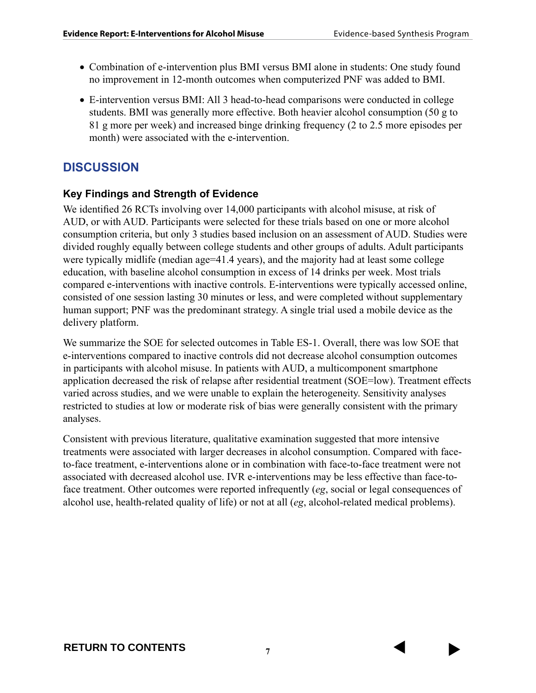- Combination of e-intervention plus BMI versus BMI alone in students: One study found no improvement in 12-month outcomes when computerized PNF was added to BMI.
- E-intervention versus BMI: All 3 head-to-head comparisons were conducted in college students. BMI was generally more effective. Both heavier alcohol consumption (50 g to 81 g more per week) and increased binge drinking frequency (2 to 2.5 more episodes per month) were associated with the e-intervention.

#### **DISCUSSION**

#### **Key Findings and Strength of Evidence**

We identified 26 RCTs involving over 14,000 participants with alcohol misuse, at risk of AUD, or with AUD. Participants were selected for these trials based on one or more alcohol consumption criteria, but only 3 studies based inclusion on an assessment of AUD. Studies were divided roughly equally between college students and other groups of adults. Adult participants were typically midlife (median age=41.4 years), and the majority had at least some college education, with baseline alcohol consumption in excess of 14 drinks per week. Most trials compared e-interventions with inactive controls. E-interventions were typically accessed online, consisted of one session lasting 30 minutes or less, and were completed without supplementary human support; PNF was the predominant strategy. A single trial used a mobile device as the delivery platform.

We summarize the SOE for selected outcomes in Table ES-1. Overall, there was low SOE that e-interventions compared to inactive controls did not decrease alcohol consumption outcomes in participants with alcohol misuse. In patients with AUD, a multicomponent smartphone application decreased the risk of relapse after residential treatment (SOE=low). Treatment effects varied across studies, and we were unable to explain the heterogeneity. Sensitivity analyses restricted to studies at low or moderate risk of bias were generally consistent with the primary analyses.

Consistent with previous literature, qualitative examination suggested that more intensive treatments were associated with larger decreases in alcohol consumption. Compared with faceto-face treatment, e-interventions alone or in combination with face-to-face treatment were not associated with decreased alcohol use. IVR e-interventions may be less effective than face-toface treatment. Other outcomes were reported infrequently (*eg*, social or legal consequences of alcohol use, health-related quality of life) or not at all (*eg*, alcohol-related medical problems).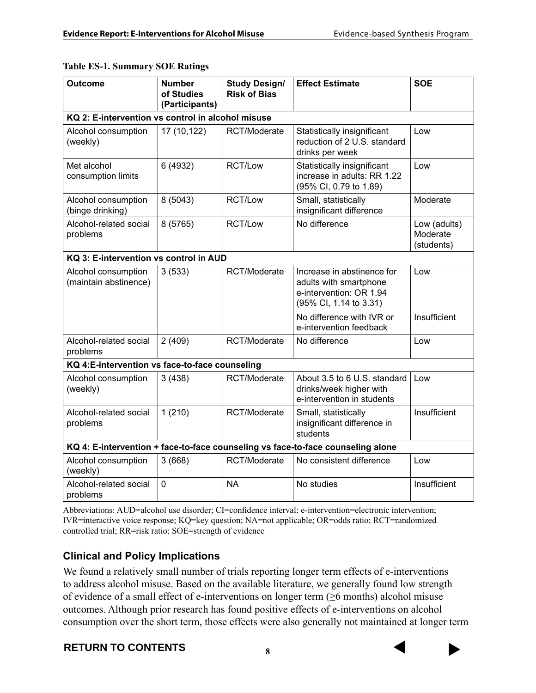|  |  | <b>Table ES-1. Summary SOE Ratings</b> |
|--|--|----------------------------------------|
|--|--|----------------------------------------|

| <b>Outcome</b>                                                                  | <b>Number</b><br>of Studies<br>(Participants)  | <b>Study Design/</b><br><b>Risk of Bias</b> | <b>Effect Estimate</b>                                                                                    | <b>SOE</b>                             |  |  |  |  |  |
|---------------------------------------------------------------------------------|------------------------------------------------|---------------------------------------------|-----------------------------------------------------------------------------------------------------------|----------------------------------------|--|--|--|--|--|
| KQ 2: E-intervention vs control in alcohol misuse                               |                                                |                                             |                                                                                                           |                                        |  |  |  |  |  |
| Alcohol consumption<br>(weekly)                                                 | 17 (10,122)                                    | RCT/Moderate                                | Statistically insignificant<br>reduction of 2 U.S. standard<br>drinks per week                            | Low                                    |  |  |  |  |  |
| Met alcohol<br>consumption limits                                               | 6 (4932)                                       | RCT/Low                                     | Statistically insignificant<br>increase in adults: RR 1.22<br>(95% CI, 0.79 to 1.89)                      | Low                                    |  |  |  |  |  |
| Alcohol consumption<br>(binge drinking)                                         | 8 (5043)                                       | RCT/Low                                     | Small, statistically<br>insignificant difference                                                          | Moderate                               |  |  |  |  |  |
| Alcohol-related social<br>problems                                              | 8 (5765)                                       | RCT/Low                                     | No difference                                                                                             | Low (adults)<br>Moderate<br>(students) |  |  |  |  |  |
| KQ 3: E-intervention vs control in AUD                                          |                                                |                                             |                                                                                                           |                                        |  |  |  |  |  |
| Alcohol consumption<br>(maintain abstinence)                                    | 3(533)                                         | RCT/Moderate                                | Increase in abstinence for<br>adults with smartphone<br>e-intervention: OR 1.94<br>(95% CI, 1.14 to 3.31) | Low                                    |  |  |  |  |  |
|                                                                                 |                                                |                                             | No difference with IVR or<br>e-intervention feedback                                                      | Insufficient                           |  |  |  |  |  |
| Alcohol-related social<br>problems                                              | 2(409)                                         | RCT/Moderate                                | No difference                                                                                             | Low                                    |  |  |  |  |  |
|                                                                                 | KQ 4:E-intervention vs face-to-face counseling |                                             |                                                                                                           |                                        |  |  |  |  |  |
| Alcohol consumption<br>(weekly)                                                 | 3(438)                                         | RCT/Moderate                                | About 3.5 to 6 U.S. standard<br>drinks/week higher with<br>e-intervention in students                     | Low                                    |  |  |  |  |  |
| Alcohol-related social<br>problems                                              | 1(210)                                         | RCT/Moderate                                | Small, statistically<br>insignificant difference in<br>students                                           | Insufficient                           |  |  |  |  |  |
| KQ 4: E-intervention + face-to-face counseling vs face-to-face counseling alone |                                                |                                             |                                                                                                           |                                        |  |  |  |  |  |
| Alcohol consumption<br>(weekly)                                                 | 3(668)                                         | RCT/Moderate                                | No consistent difference                                                                                  | Low                                    |  |  |  |  |  |
| Alcohol-related social<br>problems                                              | 0                                              | <b>NA</b>                                   | No studies                                                                                                | Insufficient                           |  |  |  |  |  |

Abbreviations: AUD=alcohol use disorder; CI=confidence interval; e-intervention=electronic intervention; IVR=interactive voice response; KQ=key question; NA=not applicable; OR=odds ratio; RCT=randomized controlled trial; RR=risk ratio; SOE=strength of evidence

#### **Clinical and Policy Implications**

We found a relatively small number of trials reporting longer term effects of e-interventions to address alcohol misuse. Based on the available literature, we generally found low strength of evidence of a small effect of e-interventions on longer term (≥6 months) alcohol misuse outcomes. Although prior research has found positive effects of e-interventions on alcohol consumption over the short term, those effects were also generally not maintained at longer term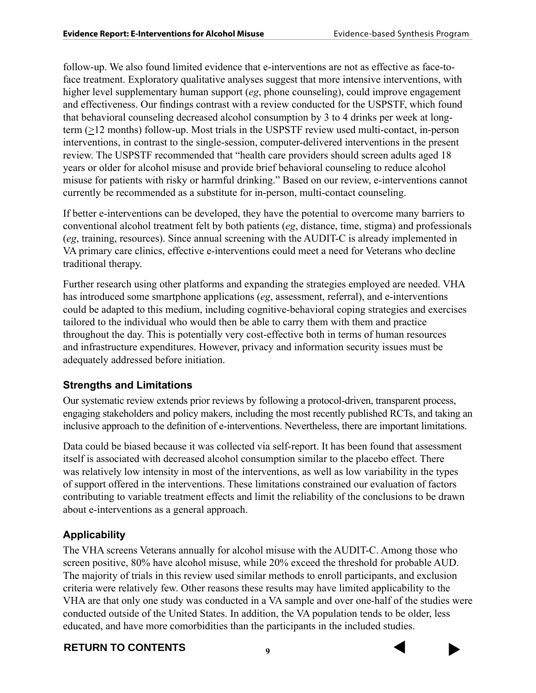follow-up. We also found limited evidence that e-interventions are not as effective as face-toface treatment. Exploratory qualitative analyses suggest that more intensive interventions, with higher level supplementary human support (*eg*, phone counseling), could improve engagement and effectiveness. Our findings contrast with a review conducted for the USPSTF, which found that behavioral counseling decreased alcohol consumption by 3 to 4 drinks per week at longterm  $(\geq)12$  months) follow-up. Most trials in the USPSTF review used multi-contact, in-person interventions, in contrast to the single-session, computer-delivered interventions in the present review. The USPSTF recommended that "health care providers should screen adults aged 18 years or older for alcohol misuse and provide brief behavioral counseling to reduce alcohol misuse for patients with risky or harmful drinking." Based on our review, e-interventions cannot currently be recommended as a substitute for in-person, multi-contact counseling.

If better e-interventions can be developed, they have the potential to overcome many barriers to conventional alcohol treatment felt by both patients (*eg*, distance, time, stigma) and professionals (*eg*, training, resources). Since annual screening with the AUDIT-C is already implemented in VA primary care clinics, effective e-interventions could meet a need for Veterans who decline traditional therapy.

Further research using other platforms and expanding the strategies employed are needed. VHA has introduced some smartphone applications (*eg*, assessment, referral), and e-interventions could be adapted to this medium, including cognitive-behavioral coping strategies and exercises tailored to the individual who would then be able to carry them with them and practice throughout the day. This is potentially very cost-effective both in terms of human resources and infrastructure expenditures. However, privacy and information security issues must be adequately addressed before initiation.

#### **Strengths and Limitations**

Our systematic review extends prior reviews by following a protocol-driven, transparent process, engaging stakeholders and policy makers, including the most recently published RCTs, and taking an inclusive approach to the definition of e-interventions. Nevertheless, there are important limitations.

Data could be biased because it was collected via self-report. It has been found that assessment itself is associated with decreased alcohol consumption similar to the placebo effect. There was relatively low intensity in most of the interventions, as well as low variability in the types of support offered in the interventions. These limitations constrained our evaluation of factors contributing to variable treatment effects and limit the reliability of the conclusions to be drawn about e-interventions as a general approach.

#### **Applicability**

The VHA screens Veterans annually for alcohol misuse with the AUDIT-C. Among those who screen positive, 80% have alcohol misuse, while 20% exceed the threshold for probable AUD. The majority of trials in this review used similar methods to enroll participants, and exclusion criteria were relatively few. Other reasons these results may have limited applicability to the VHA are that only one study was conducted in a VA sample and over one-half of the studies were conducted outside of the United States. In addition, the VA population tends to be older, less educated, and have more comorbidities than the participants in the included studies.